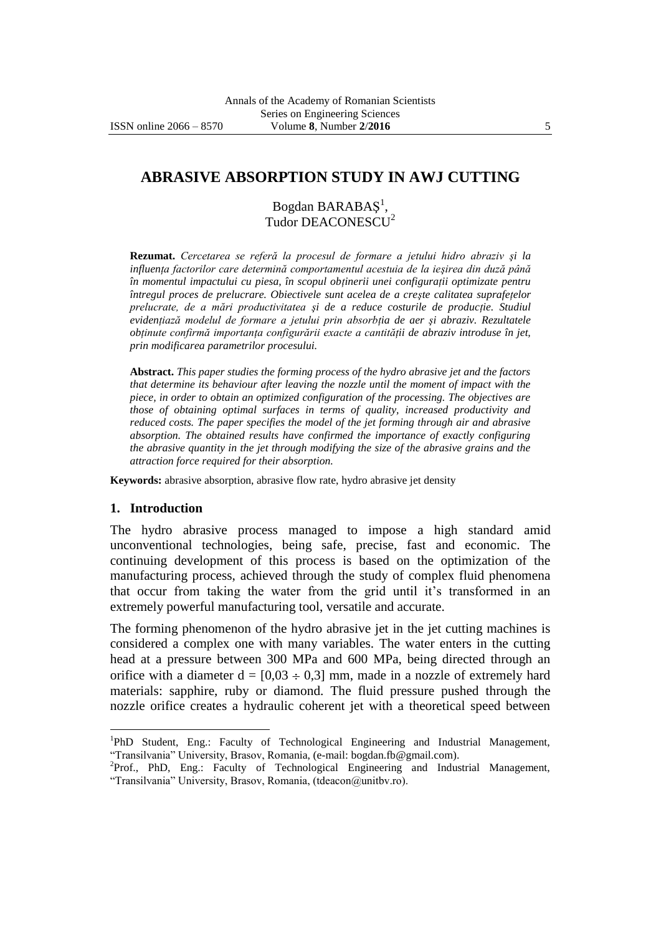# **ABRASIVE ABSORPTION STUDY IN AWJ CUTTING**

Bogdan BARABAŞ 1 , Tudor DEACONESCU<sup>2</sup>

**Rezumat.** *Cercetarea se referă la procesul de formare a jetului hidro abraziv şi la influenţa factorilor care determină comportamentul acestuia de la ieşirea din duză până în momentul impactului cu piesa, în scopul obţinerii unei configuraţii optimizate pentru întregul proces de prelucrare. Obiectivele sunt acelea de a creşte calitatea suprafeţelor prelucrate, de a mări productivitatea şi de a reduce costurile de producţie. Studiul evidenţiază modelul de formare a jetului prin absorbţia de aer şi abraziv. Rezultatele obţinute confirmă importanţa configurării exacte a cantităţii de abraziv introduse în jet, prin modificarea parametrilor procesului.*

**Abstract.** *This paper studies the forming process of the hydro abrasive jet and the factors that determine its behaviour after leaving the nozzle until the moment of impact with the piece, in order to obtain an optimized configuration of the processing. The objectives are those of obtaining optimal surfaces in terms of quality, increased productivity and reduced costs. The paper specifies the model of the jet forming through air and abrasive absorption. The obtained results have confirmed the importance of exactly configuring the abrasive quantity in the jet through modifying the size of the abrasive grains and the attraction force required for their absorption.*

**Keywords:** abrasive absorption, abrasive flow rate, hydro abrasive jet density

#### **1. Introduction**

 $\overline{a}$ 

The hydro abrasive process managed to impose a high standard amid unconventional technologies, being safe, precise, fast and economic. The continuing development of this process is based on the optimization of the manufacturing process, achieved through the study of complex fluid phenomena that occur from taking the water from the grid until it's transformed in an extremely powerful manufacturing tool, versatile and accurate.

The forming phenomenon of the hydro abrasive jet in the jet cutting machines is considered a complex one with many variables. The water enters in the cutting head at a pressure between 300 MPa and 600 MPa, being directed through an orifice with a diameter  $d = [0.03 \div 0.3]$  mm, made in a nozzle of extremely hard materials: sapphire, ruby or diamond. The fluid pressure pushed through the nozzle orifice creates a hydraulic coherent jet with a theoretical speed between

<sup>&</sup>lt;sup>1</sup>PhD Student, Eng.: Faculty of Technological Engineering and Industrial Management, "Transilvania" University, Brasov, Romania, (e-mail: bogdan.fb@gmail.com).

<sup>&</sup>lt;sup>2</sup>Prof., PhD, Eng.: Faculty of Technological Engineering and Industrial Management, "Transilvania" University, Brasov, Romania, (tdeacon@unitbv.ro).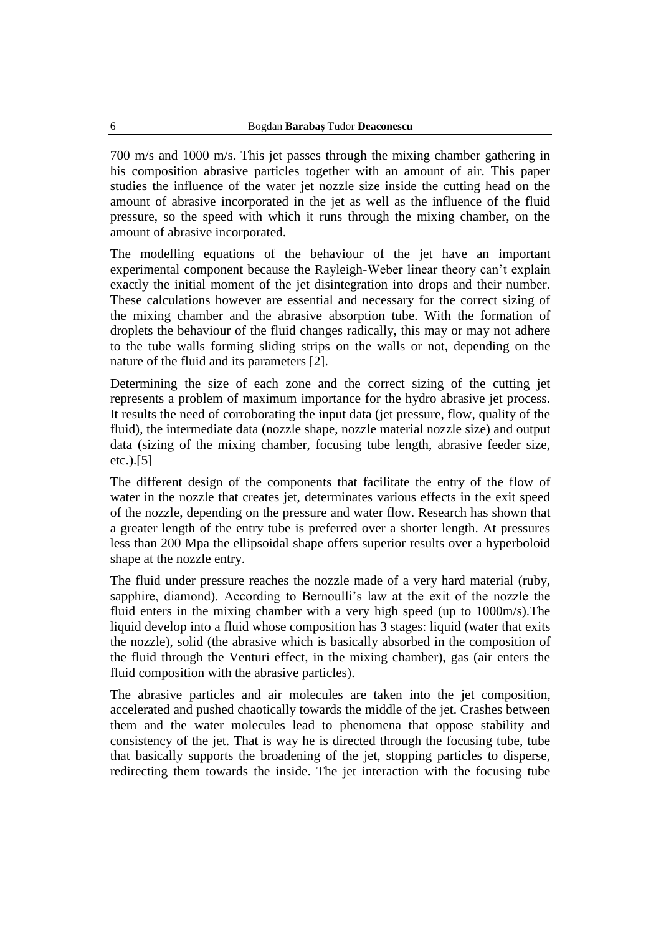700 m/s and 1000 m/s. This jet passes through the mixing chamber gathering in his composition abrasive particles together with an amount of air. This paper studies the influence of the water jet nozzle size inside the cutting head on the amount of abrasive incorporated in the jet as well as the influence of the fluid pressure, so the speed with which it runs through the mixing chamber, on the amount of abrasive incorporated.

The modelling equations of the behaviour of the jet have an important experimental component because the Rayleigh-Weber linear theory can't explain exactly the initial moment of the jet disintegration into drops and their number. These calculations however are essential and necessary for the correct sizing of the mixing chamber and the abrasive absorption tube. With the formation of droplets the behaviour of the fluid changes radically, this may or may not adhere to the tube walls forming sliding strips on the walls or not, depending on the nature of the fluid and its parameters [2].

Determining the size of each zone and the correct sizing of the cutting jet represents a problem of maximum importance for the hydro abrasive jet process. It results the need of corroborating the input data (jet pressure, flow, quality of the fluid), the intermediate data (nozzle shape, nozzle material nozzle size) and output data (sizing of the mixing chamber, focusing tube length, abrasive feeder size, etc.).[5]

The different design of the components that facilitate the entry of the flow of water in the nozzle that creates jet, determinates various effects in the exit speed of the nozzle, depending on the pressure and water flow. Research has shown that a greater length of the entry tube is preferred over a shorter length. At pressures less than 200 Mpa the ellipsoidal shape offers superior results over a hyperboloid shape at the nozzle entry.

The fluid under pressure reaches the nozzle made of a very hard material (ruby, sapphire, diamond). According to Bernoulli's law at the exit of the nozzle the fluid enters in the mixing chamber with a very high speed (up to 1000m/s).The liquid develop into a fluid whose composition has 3 stages: liquid (water that exits the nozzle), solid (the abrasive which is basically absorbed in the composition of the fluid through the Venturi effect, in the mixing chamber), gas (air enters the fluid composition with the abrasive particles).

The abrasive particles and air molecules are taken into the jet composition, accelerated and pushed chaotically towards the middle of the jet. Crashes between them and the water molecules lead to phenomena that oppose stability and consistency of the jet. That is way he is directed through the focusing tube, tube that basically supports the broadening of the jet, stopping particles to disperse, redirecting them towards the inside. The jet interaction with the focusing tube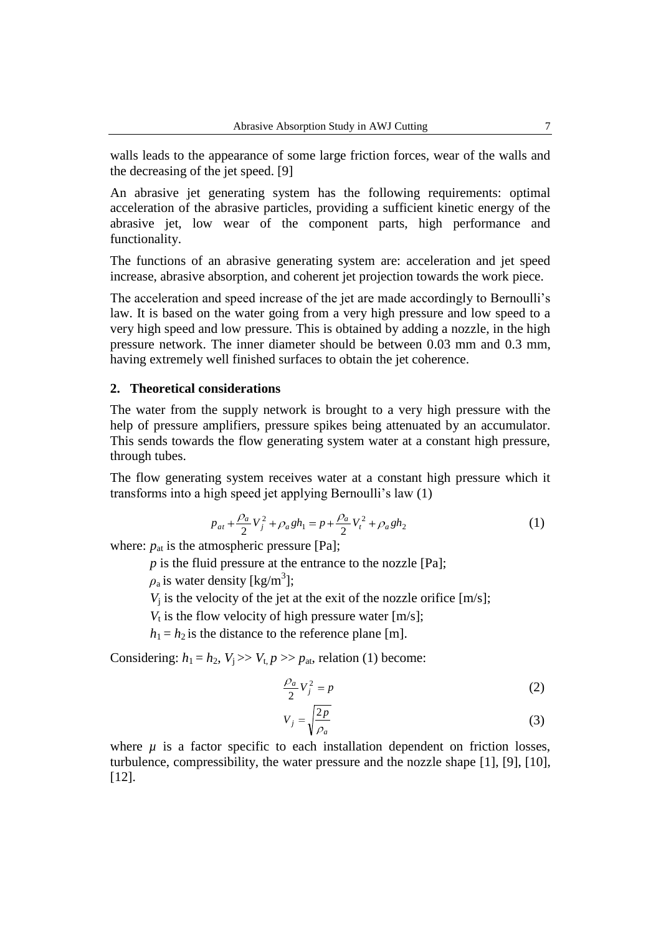walls leads to the appearance of some large friction forces, wear of the walls and the decreasing of the jet speed. [9]

An abrasive jet generating system has the following requirements: optimal acceleration of the abrasive particles, providing a sufficient kinetic energy of the abrasive jet, low wear of the component parts, high performance and functionality.

The functions of an abrasive generating system are: acceleration and jet speed increase, abrasive absorption, and coherent jet projection towards the work piece.

The acceleration and speed increase of the jet are made accordingly to Bernoulli's law. It is based on the water going from a very high pressure and low speed to a very high speed and low pressure. This is obtained by adding a nozzle, in the high pressure network. The inner diameter should be between 0.03 mm and 0.3 mm, having extremely well finished surfaces to obtain the jet coherence.

## **2. Theoretical considerations**

The water from the supply network is brought to a very high pressure with the help of pressure amplifiers, pressure spikes being attenuated by an accumulator. This sends towards the flow generating system water at a constant high pressure, through tubes.

The flow generating system receives water at a constant high pressure which it transforms into a high speed jet applying Bernoulli's law (1)

$$
p_{at} + \frac{\rho_a}{2} V_j^2 + \rho_a g h_1 = p + \frac{\rho_a}{2} V_t^2 + \rho_a g h_2 \tag{1}
$$

where:  $p_{at}$  is the atmospheric pressure [Pa];

*p* is the fluid pressure at the entrance to the nozzle [Pa];

 $\rho_a$  is water density [kg/m<sup>3</sup>];

 $V_i$  is the velocity of the jet at the exit of the nozzle orifice [m/s];

 $V_t$  is the flow velocity of high pressure water [m/s];

 $h_1 = h_2$  is the distance to the reference plane [m].

Considering:  $h_1 = h_2$ ,  $V_i \gg V_t$ ,  $p \gg p_{at}$ , relation (1) become:

$$
\frac{\rho_a}{2}V_j^2 = p \tag{2}
$$

$$
V_j = \sqrt{\frac{2p}{\rho_a}}\tag{3}
$$

where  $\mu$  is a factor specific to each installation dependent on friction losses, turbulence, compressibility, the water pressure and the nozzle shape [1], [9], [10], [12].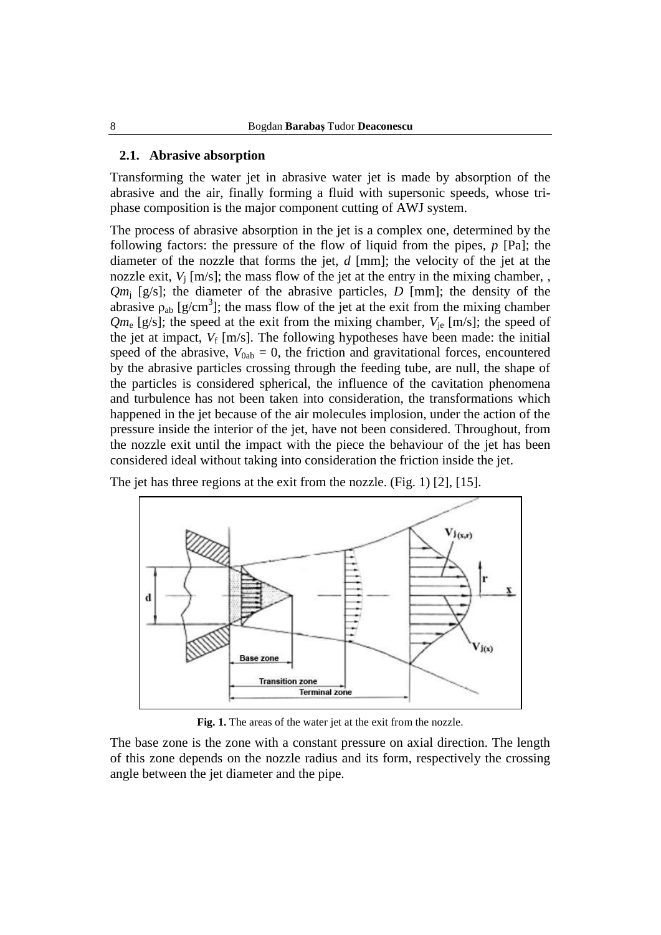#### **2.1. Abrasive absorption**

Transforming the water jet in abrasive water jet is made by absorption of the abrasive and the air, finally forming a fluid with supersonic speeds, whose triphase composition is the major component cutting of AWJ system.

The process of abrasive absorption in the jet is a complex one, determined by the following factors: the pressure of the flow of liquid from the pipes, *p* [Pa]; the diameter of the nozzle that forms the jet, *d* [mm]; the velocity of the jet at the nozzle exit,  $V_i$  [m/s]; the mass flow of the jet at the entry in the mixing chamber, , *Qm*<sup>j</sup> [g/s]; the diameter of the abrasive particles, *D* [mm]; the density of the abrasive  $\rho_{ab}$  [g/cm<sup>3</sup>]; the mass flow of the jet at the exit from the mixing chamber  $Qm_e$  [g/s]; the speed at the exit from the mixing chamber,  $V_{ie}$  [m/s]; the speed of the jet at impact,  $V_f$  [m/s]. The following hypotheses have been made: the initial speed of the abrasive,  $V_{0ab} = 0$ , the friction and gravitational forces, encountered by the abrasive particles crossing through the feeding tube, are null, the shape of the particles is considered spherical, the influence of the cavitation phenomena and turbulence has not been taken into consideration, the transformations which happened in the jet because of the air molecules implosion, under the action of the pressure inside the interior of the jet, have not been considered. Throughout, from the nozzle exit until the impact with the piece the behaviour of the jet has been considered ideal without taking into consideration the friction inside the jet.



The jet has three regions at the exit from the nozzle. (Fig. 1) [2], [15].

**Fig. 1.** The areas of the water jet at the exit from the nozzle.

The base zone is the zone with a constant pressure on axial direction. The length of this zone depends on the nozzle radius and its form, respectively the crossing angle between the jet diameter and the pipe.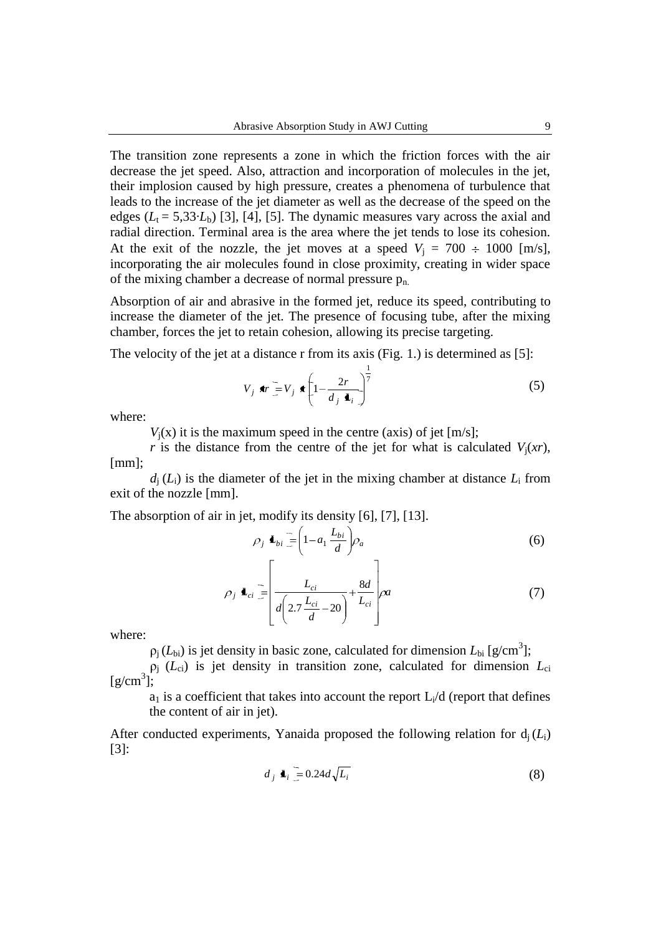The transition zone represents a zone in which the friction forces with the air decrease the jet speed. Also, attraction and incorporation of molecules in the jet, their implosion caused by high pressure, creates a phenomena of turbulence that leads to the increase of the jet diameter as well as the decrease of the speed on the edges  $(L_t = 5,33 \cdot L_b)$  [3], [4], [5]. The dynamic measures vary across the axial and radial direction. Terminal area is the area where the jet tends to lose its cohesion. At the exit of the nozzle, the jet moves at a speed  $V_i = 700 \div 1000$  [m/s], incorporating the air molecules found in close proximity, creating in wider space of the mixing chamber a decrease of normal pressure  $p_{n}$ .

Absorption of air and abrasive in the formed jet, reduce its speed, contributing to increase the diameter of the jet. The presence of focusing tube, after the mixing chamber, forces the jet to retain cohesion, allowing its precise targeting.

The velocity of the jet at a distance r from its axis (Fig. 1.) is determined as [5]:

$$
V_j \cdot \mathbf{tr} = V_j \cdot \left(1 - \frac{2r}{d_j \cdot \mathbf{L}_i}\right)^{\frac{1}{7}}
$$
 (5)

where:

 $V_i(x)$  it is the maximum speed in the centre (axis) of jet  $[m/s]$ ;

*r* is the distance from the centre of the jet for what is calculated  $V_i(xr)$ , [mm];

 $d_i(L_i)$  is the diameter of the jet in the mixing chamber at distance  $L_i$  from exit of the nozzle [mm].

The absorption of air in jet, modify its density [6], [7], [13].

$$
\rho_j \mathbf{L}_{bi} = \left(1 - a_1 \frac{L_{bi}}{d}\right) \rho_a
$$
\n
$$
\begin{bmatrix}\n\end{bmatrix} \tag{6}
$$

$$
\rho_j \blacktriangleleft_{ci} = \left[ \frac{L_{ci}}{d \left( 2.7 \frac{L_{ci}}{d} - 20 \right)} + \frac{8d}{L_{ci}} \right] \rho a \tag{7}
$$

where:

 $\rho_j(L_{bi})$  is jet density in basic zone, calculated for dimension  $L_{bi}$  [g/cm<sup>3</sup>];

 $\rho_i$  ( $L_{ci}$ ) is jet density in transition zone, calculated for dimension  $L_{ci}$  $[g/cm^3];$ 

 $a_1$  is a coefficient that takes into account the report  $L_i/d$  (report that defines the content of air in jet).

After conducted experiments, Yanaida proposed the following relation for  $d_i(L_i)$ [3]:

$$
d_j \blacktriangleleft_i = 0.24d\sqrt{L_i} \tag{8}
$$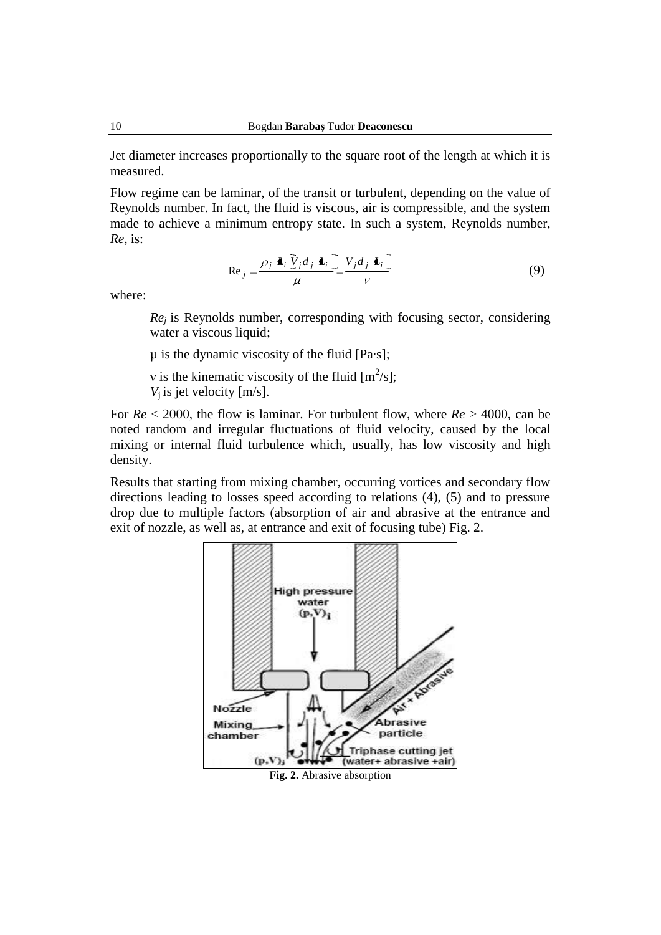Jet diameter increases proportionally to the square root of the length at which it is measured.

Flow regime can be laminar, of the transit or turbulent, depending on the value of Reynolds number. In fact, the fluid is viscous, air is compressible, and the system made to achieve a minimum entropy state. In such a system, Reynolds number, *Re*, is:

$$
\operatorname{Re}_j = \frac{\rho_j \mathbf{L}_i \tilde{V}_j d_j \mathbf{L}_i}{\mu} = \frac{V_j d_j \mathbf{L}_i}{V}
$$
(9)

where:

*Re<sup>j</sup>* is Reynolds number, corresponding with focusing sector, considering water a viscous liquid;

µ is the dynamic viscosity of the fluid [Pa·s];

v is the kinematic viscosity of the fluid  $[m^2/s]$ ;  $V_i$  is jet velocity [m/s].

For *Re* < 2000, the flow is laminar. For turbulent flow, where *Re* > 4000, can be noted random and irregular fluctuations of fluid velocity, caused by the local mixing or internal fluid turbulence which, usually, has low viscosity and high density.

Results that starting from mixing chamber, occurring vortices and secondary flow directions leading to losses speed according to relations (4), (5) and to pressure drop due to multiple factors (absorption of air and abrasive at the entrance and exit of nozzle, as well as, at entrance and exit of focusing tube) Fig. 2.

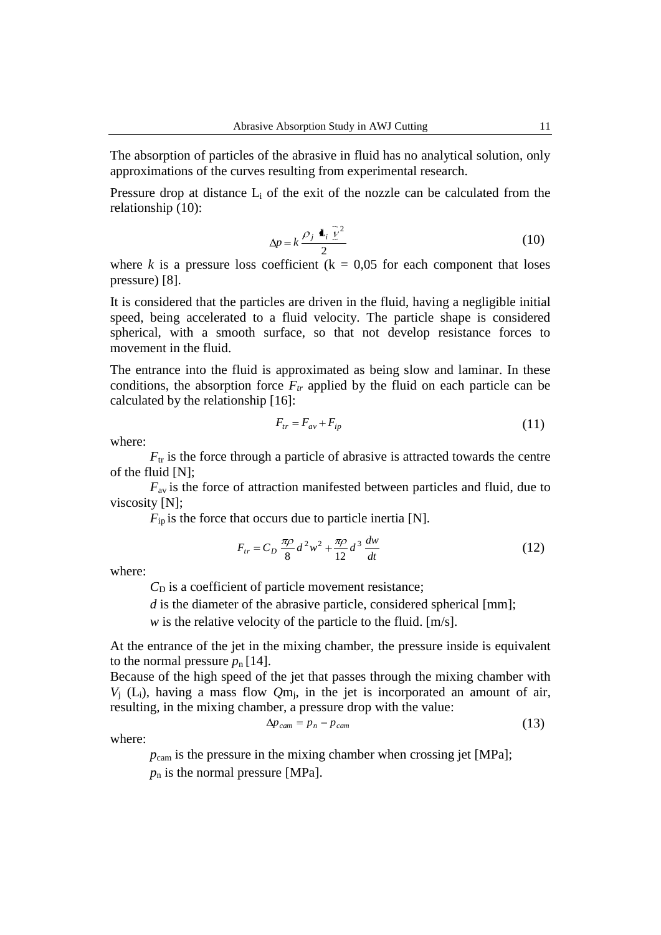The absorption of particles of the abrasive in fluid has no analytical solution, only approximations of the curves resulting from experimental research.

Pressure drop at distance  $L_i$  of the exit of the nozzle can be calculated from the relationship (10):

$$
\Delta p = k \frac{\rho_j \blacktriangle t_i \bar{\nu}^2}{2} \tag{10}
$$

where *k* is a pressure loss coefficient ( $k = 0.05$  for each component that loses pressure) [8].

It is considered that the particles are driven in the fluid, having a negligible initial speed, being accelerated to a fluid velocity. The particle shape is considered spherical, with a smooth surface, so that not develop resistance forces to movement in the fluid.

The entrance into the fluid is approximated as being slow and laminar. In these conditions, the absorption force  $F_{tr}$  applied by the fluid on each particle can be calculated by the relationship [16]:

$$
F_{tr} = F_{av} + F_{ip} \tag{11}
$$

where:

 $F_{tr}$  is the force through a particle of abrasive is attracted towards the centre of the fluid [N];

*F*av is the force of attraction manifested between particles and fluid, due to viscosity [N];

 $F_{ip}$  is the force that occurs due to particle inertia [N].

$$
F_{tr} = C_D \frac{\pi \rho}{8} d^2 w^2 + \frac{\pi \rho}{12} d^3 \frac{dw}{dt}
$$
 (12)

where:

 $C<sub>D</sub>$  is a coefficient of particle movement resistance;

*d* is the diameter of the abrasive particle, considered spherical [mm];

*w* is the relative velocity of the particle to the fluid. [m/s].

At the entrance of the jet in the mixing chamber, the pressure inside is equivalent to the normal pressure  $p_n$  [14].

Because of the high speed of the jet that passes through the mixing chamber with  $V_j$  (L<sub>i</sub>), having a mass flow  $Qm_j$ , in the jet is incorporated an amount of air, resulting, in the mixing chamber, a pressure drop with the value:

$$
\Delta p_{cam} = p_n - p_{cam} \tag{13}
$$

where:

*p*<sub>cam</sub> is the pressure in the mixing chamber when crossing jet [MPa];  $p_n$  is the normal pressure [MPa].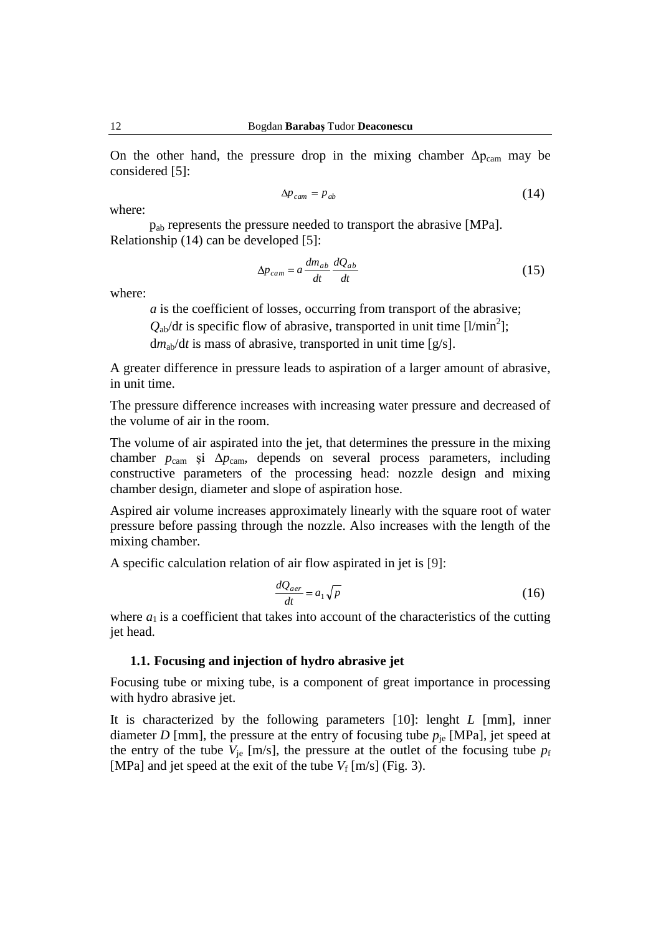On the other hand, the pressure drop in the mixing chamber  $\Delta p_{cam}$  may be considered [5]:

$$
\Delta p_{cam} = p_{ab} \tag{14}
$$

where:

pab represents the pressure needed to transport the abrasive [MPa]. Relationship (14) can be developed [5]:

$$
\Delta p_{cam} = a \frac{dm_{ab}}{dt} \frac{dQ_{ab}}{dt}
$$
\n(15)

where:

*a* is the coefficient of losses, occurring from transport of the abrasive;

 $Q_{ab}/dt$  is specific flow of abrasive, transported in unit time [l/min<sup>2</sup>];

 $dm_{ab}/dt$  is mass of abrasive, transported in unit time [g/s].

A greater difference in pressure leads to aspiration of a larger amount of abrasive, in unit time.

The pressure difference increases with increasing water pressure and decreased of the volume of air in the room.

The volume of air aspirated into the jet, that determines the pressure in the mixing chamber  $p_{\text{cam}}$  și  $\Delta p_{\text{cam}}$ , depends on several process parameters, including constructive parameters of the processing head: nozzle design and mixing chamber design, diameter and slope of aspiration hose.

Aspired air volume increases approximately linearly with the square root of water pressure before passing through the nozzle. Also increases with the length of the mixing chamber.

A specific calculation relation of air flow aspirated in jet is [9]:

$$
\frac{dQ_{aer}}{dt} = a_1 \sqrt{p} \tag{16}
$$

where  $a_1$  is a coefficient that takes into account of the characteristics of the cutting jet head.

## **1.1. Focusing and injection of hydro abrasive jet**

Focusing tube or mixing tube, is a component of great importance in processing with hydro abrasive jet.

It is characterized by the following parameters [10]: lenght *L* [mm], inner diameter *D* [mm], the pressure at the entry of focusing tube  $p_{ie}$  [MPa], jet speed at the entry of the tube  $V_{\text{je}}$  [m/s], the pressure at the outlet of the focusing tube  $p_{\text{f}}$ [MPa] and jet speed at the exit of the tube  $V_f$  [m/s] (Fig. 3).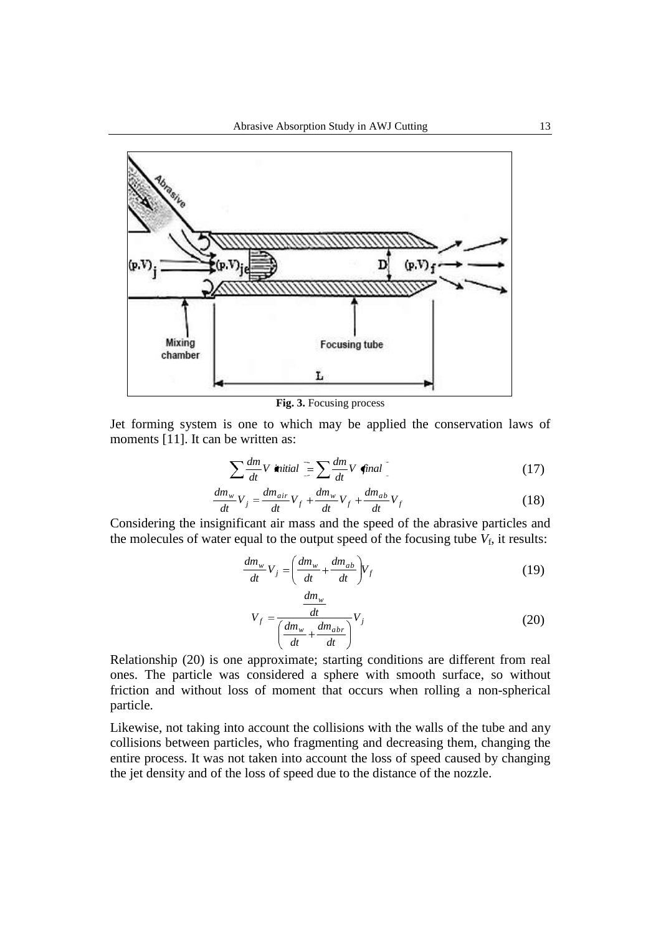

**Fig. 3.** Focusing process

Jet forming system is one to which may be applied the conservation laws of moments [11]. It can be written as:

$$
\sum \frac{dm}{dt} V \text{ initial } = \sum \frac{dm}{dt} V \text{ final } \tag{17}
$$

$$
\frac{dm_w}{dt}V_j = \frac{dm_{air}}{dt}V_f + \frac{dm_w}{dt}V_f + \frac{dm_{ab}}{dt}V_f
$$
\n(18)

Considering the insignificant air mass and the speed of the abrasive particles and the molecules of water equal to the output speed of the focusing tube  $V_f$ , it results:

$$
\frac{dm_w}{dt}V_j = \left(\frac{dm_w}{dt} + \frac{dm_{ab}}{dt}\right)V_f
$$
\n(19)

$$
V_f = \frac{\frac{dm_w}{dt}}{\left(\frac{dm_w}{dt} + \frac{dm_{abr}}{dt}\right)} V_j
$$
 (20)

Relationship (20) is one approximate; starting conditions are different from real ones. The particle was considered a sphere with smooth surface, so without friction and without loss of moment that occurs when rolling a non-spherical particle.

Likewise, not taking into account the collisions with the walls of the tube and any collisions between particles, who fragmenting and decreasing them, changing the entire process. It was not taken into account the loss of speed caused by changing the jet density and of the loss of speed due to the distance of the nozzle.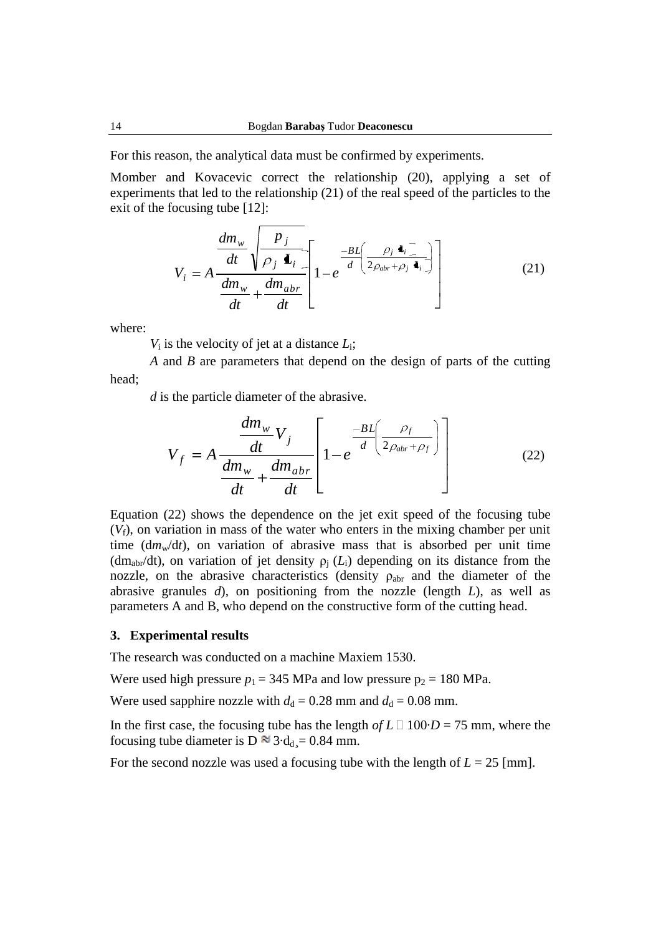For this reason, the analytical data must be confirmed by experiments.

Momber and Kovacevic correct the relationship (20), applying a set of experiments that led to the relationship (21) of the real speed of the particles to the exit of the focusing tube [12]:

$$
V_{i} = A \frac{\frac{dm_{w}}{dt} \sqrt{\frac{p_{j}}{\rho_{j}} \mathbf{I}_{i}}}{\frac{dm_{w}}{dt} + \frac{dm_{abr}}{dt}} \left[ 1 - e^{\frac{-BL}{d} \left( \frac{\rho_{j} \mathbf{I}_{i}}{2\rho_{abr} + \rho_{j} \mathbf{I}_{i}} \right)} \right]
$$
(21)

where:

*V*<sup>i</sup> is the velocity of jet at a distance *L*i;

*A* and *B* are parameters that depend on the design of parts of the cutting head;

*d* is the particle diameter of the abrasive.

$$
V_f = A \frac{\frac{dm_w}{dt} V_j}{\frac{dm_w}{dt} + \frac{dm_{abr}}{dt}} \left[ 1 - e^{\frac{-BL}{d} \left( \frac{\rho_f}{2\rho_{abr} + \rho_f} \right)} \right]
$$
(22)

Equation (22) shows the dependence on the jet exit speed of the focusing tube (*V*f), on variation in mass of the water who enters in the mixing chamber per unit time  $dm_w/dt$ , on variation of abrasive mass that is absorbed per unit time (dm<sub>abr</sub>/dt), on variation of jet density  $\rho_j(L_i)$  depending on its distance from the nozzle, on the abrasive characteristics (density  $\rho_{\text{abr}}$  and the diameter of the abrasive granules *d*), on positioning from the nozzle (length *L*), as well as parameters A and B, who depend on the constructive form of the cutting head.

#### **3. Experimental results**

The research was conducted on a machine Maxiem 1530.

Were used high pressure  $p_1 = 345$  MPa and low pressure  $p_2 = 180$  MPa.

Were used sapphire nozzle with  $d_d = 0.28$  mm and  $d_d = 0.08$  mm.

In the first case, the focusing tube has the length  $of L \Box 100 \cdot D = 75$  mm, where the focusing tube diameter is D  $\approx$  3·d<sub>d</sub><sub>s</sub> = 0.84 mm.

For the second nozzle was used a focusing tube with the length of  $L = 25$  [mm].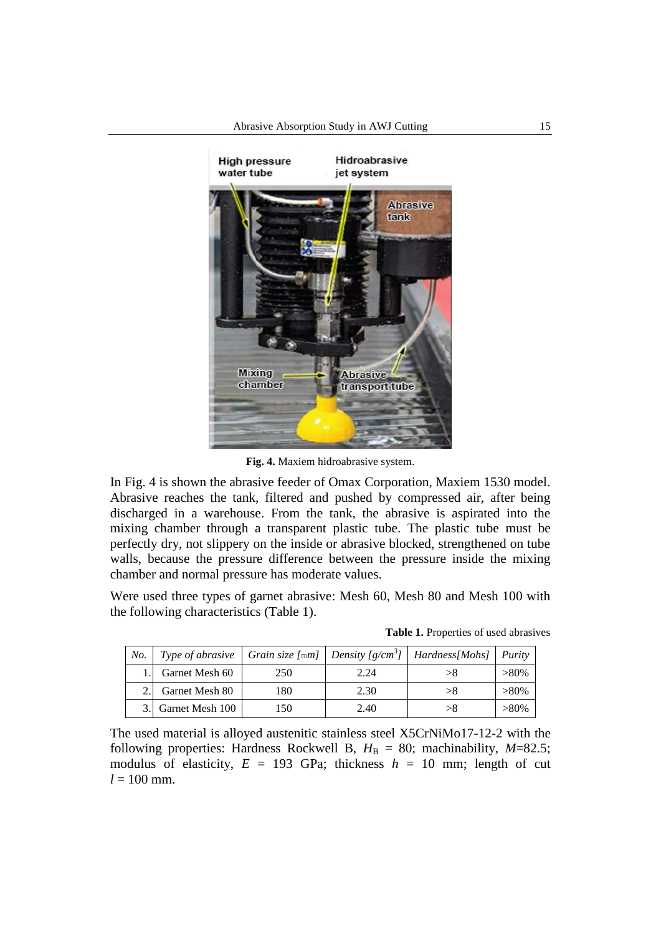

**Fig. 4.** Maxiem hidroabrasive system.

In Fig. 4 is shown the abrasive feeder of Omax Corporation, Maxiem 1530 model. Abrasive reaches the tank, filtered and pushed by compressed air, after being discharged in a warehouse. From the tank, the abrasive is aspirated into the mixing chamber through a transparent plastic tube. The plastic tube must be perfectly dry, not slippery on the inside or abrasive blocked, strengthened on tube walls, because the pressure difference between the pressure inside the mixing chamber and normal pressure has moderate values.

Were used three types of garnet abrasive: Mesh 60, Mesh 80 and Mesh 100 with the following characteristics (Table 1).

| No. | Type of abrasive |     |      | $\vert$ Grain size [mm] $\vert$ Density [g/cm <sup>3</sup> ] $\vert$ Hardness[Mohs] $\vert$ Purity |         |
|-----|------------------|-----|------|----------------------------------------------------------------------------------------------------|---------|
|     | Garnet Mesh 60   | 250 | 2.24 |                                                                                                    | $>80\%$ |
|     | Garnet Mesh 80   | 180 | 2.30 | >8                                                                                                 | $>80\%$ |
|     | Garnet Mesh 100  | 150 | 2.40 | > 8                                                                                                | $>80\%$ |

**Table 1.** Properties of used abrasives

The used material is alloyed austenitic stainless steel X5CrNiMo17-12-2 with the following properties: Hardness Rockwell B,  $H_B = 80$ ; machinability,  $M=82.5$ ; modulus of elasticity,  $E = 193$  GPa; thickness  $h = 10$  mm; length of cut  $l = 100$  mm.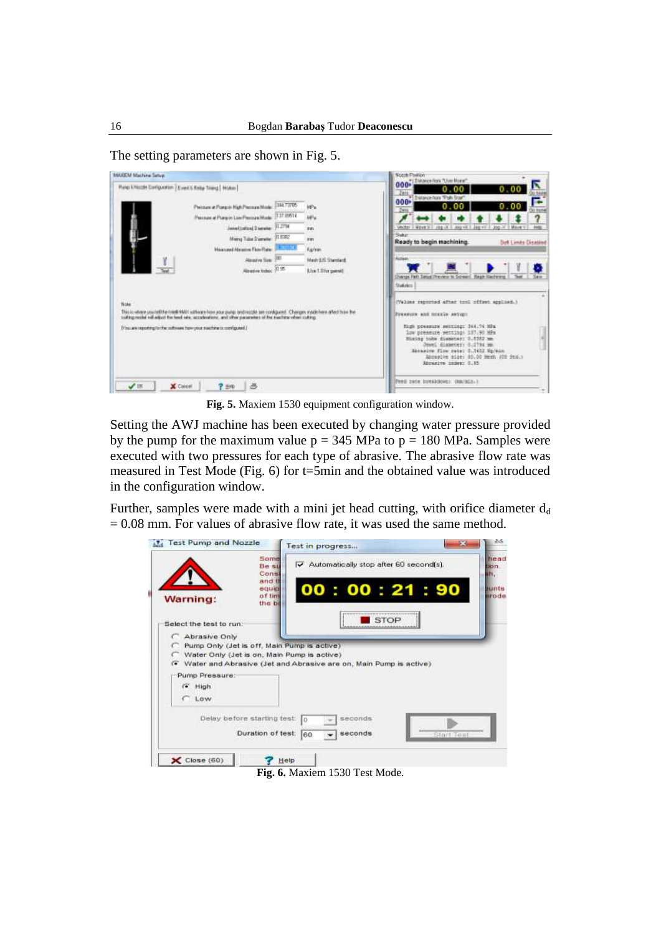The setting parameters are shown in Fig. 5.

| MAAZEM Machine Setup:                                                                                                                                                                                                                                                                                                                                                                                                                                                                      |                                                                                                                                                                                                                                       |                                                                                                        | Nozzle-Paskion"<br>000* Distance floor "User Home"                                                                                                                                                                                                                                                                                                                                                                                                                                                                                                     |
|--------------------------------------------------------------------------------------------------------------------------------------------------------------------------------------------------------------------------------------------------------------------------------------------------------------------------------------------------------------------------------------------------------------------------------------------------------------------------------------------|---------------------------------------------------------------------------------------------------------------------------------------------------------------------------------------------------------------------------------------|--------------------------------------------------------------------------------------------------------|--------------------------------------------------------------------------------------------------------------------------------------------------------------------------------------------------------------------------------------------------------------------------------------------------------------------------------------------------------------------------------------------------------------------------------------------------------------------------------------------------------------------------------------------------------|
| Pung Effective Configuration   Event Effinite Timing   Motor                                                                                                                                                                                                                                                                                                                                                                                                                               |                                                                                                                                                                                                                                       |                                                                                                        | 0.00                                                                                                                                                                                                                                                                                                                                                                                                                                                                                                                                                   |
| Personal Porgin High Person Model<br>Note:<br><b>CONTRACTOR IN A REPORT OF A STATE OF A REPORT OF A STATE OF A REPORT OF A STATE OF A REPORT OF A STATE OF A ST</b><br>This is where you relittle tradit WAS scheare from your pump and restablish to configured. Changes made have a fact traveline<br>suiting reside will adjust the lead site, acceleratory, and other parameters of the inschine when culting.<br>(You are reporting to the suffixees how your suchine is configured.) | 388,73705<br>Pleasure of Planpin Low Pleasure Mode: 137 0514<br>Javelloited Disease 312794<br>Miercy Tube Diservice 13 8382<br><b>Heatund Airport Floy Park 1991-1991</b><br><b>Realize Size: INT</b><br><b>Riteries Index: (135)</b> | <b>W</b><br>kills.<br><b>RIEL</b><br>mm.<br><b>Kazleen</b><br>Made E/E Standard<br>Llocit Disc panel . | * Bulance harr 'Pah Star"<br>a<br>$000*$<br>0.00<br>244<br>Vector   Mavern   Jeg X   Jog H   Jeg v   Jog V   Mavern<br><b>Abdul</b><br>Sakir<br>Ready to begin machining.<br><b>Det Limits Disabled</b><br>Action<br>hangs Fath Setual Praytery to Screen! Begin Hachming.<br>Statistics<br>(Values reported after hood offent applied.)<br>POWERFORM AND TOTAL MONEYARD<br>Righ pressure senting: 344.74 HFs.<br>low preseure setting: 127.90 MPs<br>Mising tode diseases: 0,8252 mm<br>Jewel diameter: 0.2794 mm<br>Monacow flow swist 0.1402 Mg/min |
|                                                                                                                                                                                                                                                                                                                                                                                                                                                                                            |                                                                                                                                                                                                                                       |                                                                                                        | Abstrative alge: 80.00 meet (TH 9td.)<br>Abrahive index: 0.05<br>Fred zete breakdown: (ma/ain.)                                                                                                                                                                                                                                                                                                                                                                                                                                                        |
| X Coreel<br>7.80                                                                                                                                                                                                                                                                                                                                                                                                                                                                           | 占                                                                                                                                                                                                                                     |                                                                                                        |                                                                                                                                                                                                                                                                                                                                                                                                                                                                                                                                                        |

**Fig. 5.** Maxiem 1530 equipment configuration window.

Setting the AWJ machine has been executed by changing water pressure provided by the pump for the maximum value  $p = 345$  MPa to  $p = 180$  MPa. Samples were executed with two pressures for each type of abrasive. The abrasive flow rate was measured in Test Mode (Fig. 6) for t=5min and the obtained value was introduced in the configuration window.

Further, samples were made with a mini jet head cutting, with orifice diameter  $d_d$  $= 0.08$  mm. For values of abrasive flow rate, it was used the same method.

| Some<br>Automatically stop after 60 second(s).<br><b>Be sti</b><br>Const<br>and th<br>eauin<br>of time<br>the be<br>STOP<br>C Abrasive Only<br>Pump Only (Jet is off, Main Pump is active)<br>Water Only (Jet is on, Main Pump is active)<br>(* Water and Abrasive (Jet and Abrasive are on, Main Pump is active)<br>Pump Pressure:<br>(* High<br>$C$ Low<br>Delay before starting test:<br>seconds<br>Duration of test:<br>seconds<br>160 |            | Test in progress |  |
|--------------------------------------------------------------------------------------------------------------------------------------------------------------------------------------------------------------------------------------------------------------------------------------------------------------------------------------------------------------------------------------------------------------------------------------------|------------|------------------|--|
| Warning:<br>Select the test to run:                                                                                                                                                                                                                                                                                                                                                                                                        |            |                  |  |
|                                                                                                                                                                                                                                                                                                                                                                                                                                            |            | 00:00:21:90      |  |
|                                                                                                                                                                                                                                                                                                                                                                                                                                            |            |                  |  |
|                                                                                                                                                                                                                                                                                                                                                                                                                                            |            |                  |  |
|                                                                                                                                                                                                                                                                                                                                                                                                                                            |            |                  |  |
|                                                                                                                                                                                                                                                                                                                                                                                                                                            |            |                  |  |
|                                                                                                                                                                                                                                                                                                                                                                                                                                            |            |                  |  |
|                                                                                                                                                                                                                                                                                                                                                                                                                                            |            |                  |  |
|                                                                                                                                                                                                                                                                                                                                                                                                                                            |            |                  |  |
|                                                                                                                                                                                                                                                                                                                                                                                                                                            |            |                  |  |
|                                                                                                                                                                                                                                                                                                                                                                                                                                            |            |                  |  |
|                                                                                                                                                                                                                                                                                                                                                                                                                                            |            |                  |  |
|                                                                                                                                                                                                                                                                                                                                                                                                                                            |            |                  |  |
|                                                                                                                                                                                                                                                                                                                                                                                                                                            | Start Test |                  |  |
|                                                                                                                                                                                                                                                                                                                                                                                                                                            |            |                  |  |
|                                                                                                                                                                                                                                                                                                                                                                                                                                            |            |                  |  |
| $\times$ Close (60)<br>Help                                                                                                                                                                                                                                                                                                                                                                                                                |            |                  |  |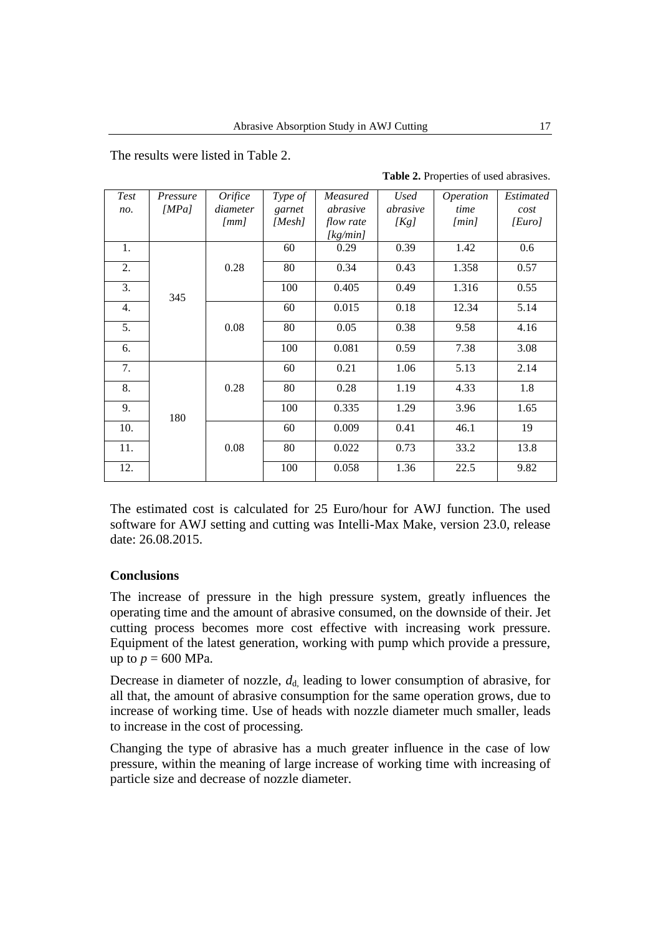The results were listed in Table 2.

| Test | Pressure | <b>Orifice</b>       | Type of | Measured         | <b>Used</b> | Operation | Estimated |
|------|----------|----------------------|---------|------------------|-------------|-----------|-----------|
| no.  | [MPa]    | diameter             | garnet  | abrasive         | abrasive    | time      | cost      |
|      |          | $\lfloor mm \rfloor$ | [Mesh]  | <i>flow rate</i> | [Kg]        | [min]     | [Euro]    |
|      |          |                      |         | [kg/min]         |             |           |           |
| 1.   |          |                      | 60      | 0.29             | 0.39        | 1.42      | 0.6       |
| 2.   |          | 0.28                 | 80      | 0.34             | 0.43        | 1.358     | 0.57      |
| 3.   | 345      |                      | 100     | 0.405            | 0.49        | 1.316     | 0.55      |
| 4.   |          |                      | 60      | 0.015            | 0.18        | 12.34     | 5.14      |
| 5.   |          | 0.08                 | 80      | 0.05             | 0.38        | 9.58      | 4.16      |
| 6.   |          |                      | 100     | 0.081            | 0.59        | 7.38      | 3.08      |
| 7.   |          |                      | 60      | 0.21             | 1.06        | 5.13      | 2.14      |
| 8.   |          | 0.28                 | 80      | 0.28             | 1.19        | 4.33      | 1.8       |
| 9.   | 180      |                      | 100     | 0.335            | 1.29        | 3.96      | 1.65      |
| 10.  |          |                      | 60      | 0.009            | 0.41        | 46.1      | 19        |
| 11.  |          | 0.08                 | 80      | 0.022            | 0.73        | 33.2      | 13.8      |
| 12.  |          |                      | 100     | 0.058            | 1.36        | 22.5      | 9.82      |

**Table 2.** Properties of used abrasives.

The estimated cost is calculated for 25 Euro/hour for AWJ function. The used software for AWJ setting and cutting was Intelli-Max Make, version 23.0, release date: 26.08.2015.

## **Conclusions**

The increase of pressure in the high pressure system, greatly influences the operating time and the amount of abrasive consumed, on the downside of their. Jet cutting process becomes more cost effective with increasing work pressure. Equipment of the latest generation, working with pump which provide a pressure, up to  $p = 600$  MPa.

Decrease in diameter of nozzle,  $d_{d}$ , leading to lower consumption of abrasive, for all that, the amount of abrasive consumption for the same operation grows, due to increase of working time. Use of heads with nozzle diameter much smaller, leads to increase in the cost of processing.

Changing the type of abrasive has a much greater influence in the case of low pressure, within the meaning of large increase of working time with increasing of particle size and decrease of nozzle diameter.